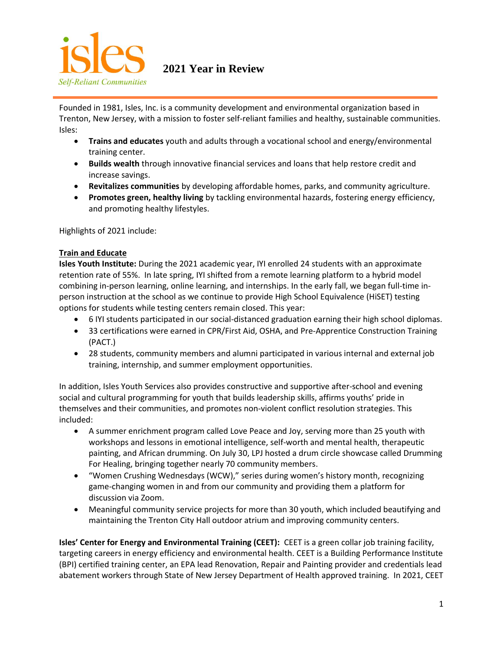

**2021 Year in Review**

Founded in 1981, Isles, Inc. is a community development and environmental organization based in Trenton, New Jersey, with a mission to foster self-reliant families and healthy, sustainable communities. Isles:

- **Trains and educates** youth and adults through a vocational school and energy/environmental training center.
- **Builds wealth** through innovative financial services and loans that help restore credit and increase savings.
- **Revitalizes communities** by developing affordable homes, parks, and community agriculture.
- **Promotes green, healthy living** by tackling environmental hazards, fostering energy efficiency, and promoting healthy lifestyles.

Highlights of 2021 include:

## **Train and Educate**

**Isles Youth Institute:** During the 2021 academic year, IYI enrolled 24 students with an approximate retention rate of 55%. In late spring, IYI shifted from a remote learning platform to a hybrid model combining in-person learning, online learning, and internships. In the early fall, we began full-time inperson instruction at the school as we continue to provide High School Equivalence (HiSET) testing options for students while testing centers remain closed. This year:

- 6 IYI students participated in our social-distanced graduation earning their high school diplomas.
- 33 certifications were earned in CPR/First Aid, OSHA, and Pre-Apprentice Construction Training (PACT.)
- 28 students, community members and alumni participated in various internal and external job training, internship, and summer employment opportunities.

In addition, Isles Youth Services also provides constructive and supportive after-school and evening social and cultural programming for youth that builds leadership skills, affirms youths' pride in themselves and their communities, and promotes non-violent conflict resolution strategies. This included:

- A summer enrichment program called Love Peace and Joy, serving more than 25 youth with workshops and lessons in emotional intelligence, self-worth and mental health, therapeutic painting, and African drumming. On July 30, LPJ hosted a drum circle showcase called Drumming For Healing, bringing together nearly 70 community members.
- "Women Crushing Wednesdays (WCW)," series during women's history month, recognizing game-changing women in and from our community and providing them a platform for discussion via Zoom.
- Meaningful community service projects for more than 30 youth, which included beautifying and maintaining the Trenton City Hall outdoor atrium and improving community centers.

**Isles' Center for Energy and Environmental Training (CEET):** CEET is a green collar job training facility, targeting careers in energy efficiency and environmental health. CEET is a Building Performance Institute (BPI) certified training center, an EPA lead Renovation, Repair and Painting provider and credentials lead abatement workers through State of New Jersey Department of Health approved training. In 2021, CEET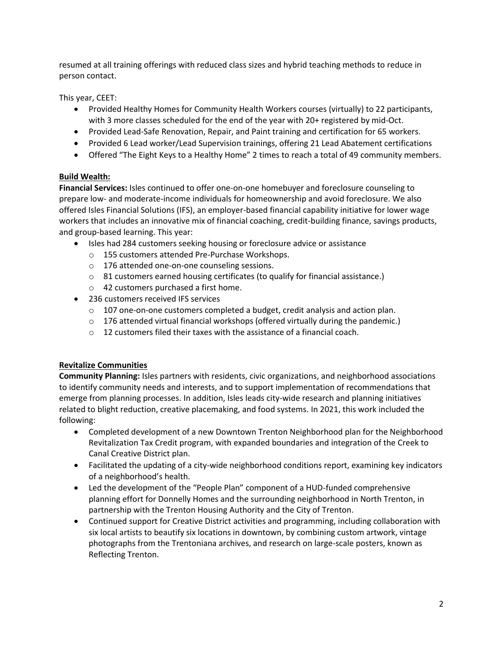resumed at all training offerings with reduced class sizes and hybrid teaching methods to reduce in person contact.

This year, CEET:

- Provided Healthy Homes for Community Health Workers courses (virtually) to 22 participants, with 3 more classes scheduled for the end of the year with 20+ registered by mid-Oct.
- Provided Lead-Safe Renovation, Repair, and Paint training and certification for 65 workers.
- Provided 6 Lead worker/Lead Supervision trainings, offering 21 Lead Abatement certifications
- Offered "The Eight Keys to a Healthy Home" 2 times to reach a total of 49 community members.

## **Build Wealth:**

**Financial Services:** Isles continued to offer one-on-one homebuyer and foreclosure counseling to prepare low- and moderate-income individuals for homeownership and avoid foreclosure. We also offered Isles Financial Solutions (IFS), an employer-based financial capability initiative for lower wage workers that includes an innovative mix of financial coaching, credit-building finance, savings products, and group-based learning. This year:

- Isles had 284 customers seeking housing or foreclosure advice or assistance
	- o 155 customers attended Pre-Purchase Workshops.
	- o 176 attended one-on-one counseling sessions.
	- $\circ$  81 customers earned housing certificates (to qualify for financial assistance.)
	- o 42 customers purchased a first home.
- 236 customers received IFS services
	- o 107 one-on-one customers completed a budget, credit analysis and action plan.
	- $\circ$  176 attended virtual financial workshops (offered virtually during the pandemic.)
	- $\circ$  12 customers filed their taxes with the assistance of a financial coach.

## **Revitalize Communities**

**Community Planning:** Isles partners with residents, civic organizations, and neighborhood associations to identify community needs and interests, and to support implementation of recommendations that emerge from planning processes. In addition, Isles leads city-wide research and planning initiatives related to blight reduction, creative placemaking, and food systems. In 2021, this work included the following:

- Completed development of a new Downtown Trenton Neighborhood plan for the Neighborhood Revitalization Tax Credit program, with expanded boundaries and integration of the Creek to Canal Creative District plan.
- Facilitated the updating of a city-wide neighborhood conditions report, examining key indicators of a neighborhood's health.
- Led the development of the "People Plan" component of a HUD-funded comprehensive planning effort for Donnelly Homes and the surrounding neighborhood in North Trenton, in partnership with the Trenton Housing Authority and the City of Trenton.
- Continued support for Creative District activities and programming, including collaboration with six local artists to beautify six locations in downtown, by combining custom artwork, vintage photographs from the Trentoniana archives, and research on large-scale posters, known as Reflecting Trenton.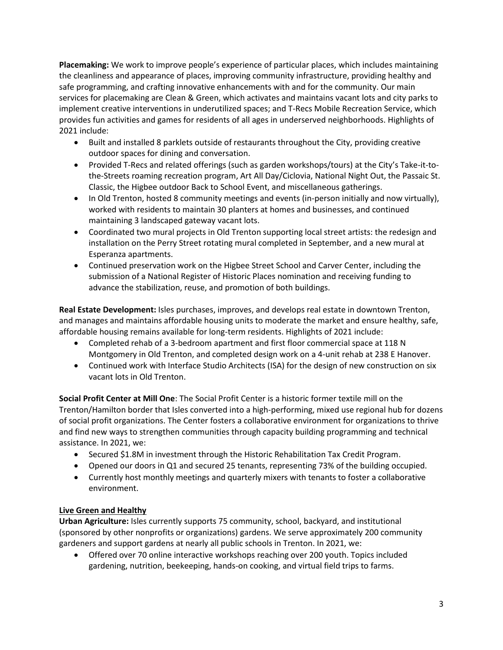**Placemaking:** We work to improve people's experience of particular places, which includes maintaining the cleanliness and appearance of places, improving community infrastructure, providing healthy and safe programming, and crafting innovative enhancements with and for the community. Our main services for placemaking are Clean & Green, which activates and maintains vacant lots and city parks to implement creative interventions in underutilized spaces; and T-Recs Mobile Recreation Service, which provides fun activities and games for residents of all ages in underserved neighborhoods. Highlights of 2021 include:

- Built and installed 8 parklets outside of restaurants throughout the City, providing creative outdoor spaces for dining and conversation.
- Provided T-Recs and related offerings (such as garden workshops/tours) at the City's Take-it-tothe-Streets roaming recreation program, Art All Day/Ciclovia, National Night Out, the Passaic St. Classic, the Higbee outdoor Back to School Event, and miscellaneous gatherings.
- In Old Trenton, hosted 8 community meetings and events (in-person initially and now virtually), worked with residents to maintain 30 planters at homes and businesses, and continued maintaining 3 landscaped gateway vacant lots.
- Coordinated two mural projects in Old Trenton supporting local street artists: the redesign and installation on the Perry Street rotating mural completed in September, and a new mural at Esperanza apartments.
- Continued preservation work on the Higbee Street School and Carver Center, including the submission of a National Register of Historic Places nomination and receiving funding to advance the stabilization, reuse, and promotion of both buildings.

**Real Estate Development:** Isles purchases, improves, and develops real estate in downtown Trenton, and manages and maintains affordable housing units to moderate the market and ensure healthy, safe, affordable housing remains available for long-term residents. Highlights of 2021 include:

- Completed rehab of a 3-bedroom apartment and first floor commercial space at 118 N Montgomery in Old Trenton, and completed design work on a 4-unit rehab at 238 E Hanover.
- Continued work with Interface Studio Architects (ISA) for the design of new construction on six vacant lots in Old Trenton.

**Social Profit Center at Mill One**: The Social Profit Center is a historic former textile mill on the Trenton/Hamilton border that Isles converted into a high-performing, mixed use regional hub for dozens of social profit organizations. The Center fosters a collaborative environment for organizations to thrive and find new ways to strengthen communities through capacity building programming and technical assistance. In 2021, we:

- Secured \$1.8M in investment through the Historic Rehabilitation Tax Credit Program.
- Opened our doors in Q1 and secured 25 tenants, representing 73% of the building occupied.
- Currently host monthly meetings and quarterly mixers with tenants to foster a collaborative environment.

## **Live Green and Healthy**

**Urban Agriculture:** Isles currently supports 75 community, school, backyard, and institutional (sponsored by other nonprofits or organizations) gardens. We serve approximately 200 community gardeners and support gardens at nearly all public schools in Trenton. In 2021, we:

• Offered over 70 online interactive workshops reaching over 200 youth. Topics included gardening, nutrition, beekeeping, hands-on cooking, and virtual field trips to farms.